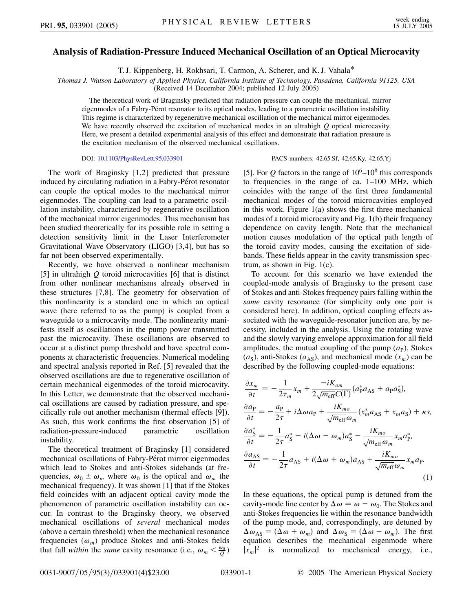## **Analysis of Radiation-Pressure Induced Mechanical Oscillation of an Optical Microcavity**

T. J. Kippenberg, H. Rokhsari, T. Carmon, A. Scherer, and K. J. Vahala\*

*Thomas J. Watson Laboratory of Applied Physics, California Institute of Technology, Pasadena, California 91125, USA*

(Received 14 December 2004; published 12 July 2005)

The theoretical work of Braginsky predicted that radiation pressure can couple the mechanical, mirror eigenmodes of a Fabry-Pérot resonator to its optical modes, leading to a parametric oscillation instability. This regime is characterized by regenerative mechanical oscillation of the mechanical mirror eigenmodes. We have recently observed the excitation of mechanical modes in an ultrahigh *Q* optical microcavity. Here, we present a detailed experimental analysis of this effect and demonstrate that radiation pressure is the excitation mechanism of the observed mechanical oscillations.

DOI: [10.1103/PhysRevLett.95.033901](http://dx.doi.org/10.1103/PhysRevLett.95.033901) PACS numbers: 42.65.Sf, 42.65.Ky, 42.65.Yj

The work of Braginsky [1,2] predicted that pressure induced by circulating radiation in a Fabry-Pérot resonator can couple the optical modes to the mechanical mirror eigenmodes. The coupling can lead to a parametric oscillation instability, characterized by regenerative oscillation of the mechanical mirror eigenmodes. This mechanism has been studied theoretically for its possible role in setting a detection sensitivity limit in the Laser Interferometer Gravitational Wave Observatory (LIGO) [3,4], but has so far not been observed experimentally.

Recently, we have observed a nonlinear mechanism [5] in ultrahigh *Q* toroid microcavities [6] that is distinct from other nonlinear mechanisms already observed in these structures [7,8]. The geometry for observation of this nonlinearity is a standard one in which an optical wave (here referred to as the pump) is coupled from a waveguide to a microcavity mode. The nonlinearity manifests itself as oscillations in the pump power transmitted past the microcavity. These oscillations are observed to occur at a distinct pump threshold and have spectral components at characteristic frequencies. Numerical modeling and spectral analysis reported in Ref. [5] revealed that the observed oscillations are due to regenerative oscillation of certain mechanical eigenmodes of the toroid microcavity. In this Letter, we demonstrate that the observed mechanical oscillations are caused by radiation pressure, and specifically rule out another mechanism (thermal effects [9]). As such, this work confirms the first observation [5] of radiation-pressure-induced parametric oscillation instability.

The theoretical treatment of Braginsky [1] considered mechanical oscillations of Fabry-Pérot mirror eigenmodes which lead to Stokes and anti-Stokes sidebands (at frequencies,  $\omega_0 \pm \omega_m$  where  $\omega_0$  is the optical and  $\omega_m$  the mechanical frequency). It was shown [1] that if the Stokes field coincides with an adjacent optical cavity mode the phenomenon of parametric oscillation instability can occur. In contrast to the Braginsky theory, we observed mechanical oscillations of *several* mechanical modes (above a certain threshold) when the mechanical resonance frequencies  $(\omega_m)$  produce Stokes and anti-Stokes fields that fall *within* the *same* cavity resonance (i.e.,  $\omega_m < \frac{\omega_0}{Q}$ ) [5]. For *Q* factors in the range of  $10^6$ – $10^8$  this corresponds to frequencies in the range of ca. 1–100 MHz, which coincides with the range of the first three fundamental mechanical modes of the toroid microcavities employed in this work. Figure 1(a) shows the first three mechanical modes of a toroid microcavity and Fig. 1(b) their frequency dependence on cavity length. Note that the mechanical motion causes modulation of the optical path length of the toroid cavity modes, causing the excitation of sidebands. These fields appear in the cavity transmission spectrum, as shown in Fig. 1(c).

To account for this scenario we have extended the coupled-mode analysis of Braginsky to the present case of Stokes and anti-Stokes frequency pairs falling within the *same* cavity resonance (for simplicity only one pair is considered here). In addition, optical coupling effects associated with the waveguide-resonator junction are, by necessity, included in the analysis. Using the rotating wave and the slowly varying envelope approximation for all field amplitudes, the mutual coupling of the pump  $(a<sub>P</sub>)$ , Stokes  $(a<sub>S</sub>)$ , anti-Stokes  $(a<sub>AS</sub>)$ , and mechanical mode  $(x<sub>m</sub>)$  can be described by the following coupled-mode equations:

$$
\frac{\partial x_m}{\partial t} = -\frac{1}{2\tau_m} x_m + \frac{-iK_{om}}{2\sqrt{m_{\text{eff}}}C(\Gamma)} (a_{\text{P}}^* a_{\text{AS}} + a_{\text{P}} a_{\text{S}}^*),
$$
  

$$
\frac{\partial a_{\text{P}}}{\partial t} = -\frac{a_{\text{P}}}{2\tau} + i\Delta \omega a_{\text{P}} + \frac{iK_{mo}}{\sqrt{m_{\text{eff}}} \omega_m} (x_m^* a_{\text{AS}} + x_m a_{\text{S}}) + \kappa s,
$$
  

$$
\frac{\partial a_{\text{S}}^*}{\partial t} = -\frac{1}{2\tau} a_{\text{S}}^* - i(\Delta \omega - \omega_m) a_{\text{S}}^* - \frac{iK_{mo}}{\sqrt{m_{\text{eff}}} \omega_m} x_m a_{\text{P}}^*,
$$

$$
\frac{\partial a_{AS}}{\partial t} = -\frac{1}{2\tau} a_{AS} + i(\Delta \omega + \omega_m) a_{AS} + \frac{iK_{mo}}{\sqrt{m_{eff}} \omega_m} x_m a_P.
$$
\n(1)

In these equations, the optical pump is detuned from the cavity-mode line center by  $\Delta \omega = \omega - \omega_0$ . The Stokes and anti-Stokes frequencies lie within the resonance bandwidth of the pump mode, and, correspondingly, are detuned by  $\Delta \omega_{AS} = (\Delta \omega + \omega_m)$  and  $\Delta \omega_S = (\Delta \omega - \omega_m)$ . The first equation describes the mechanical eigenmode where  $|x_m|^2$  is normalized to mechanical energy, i.e.,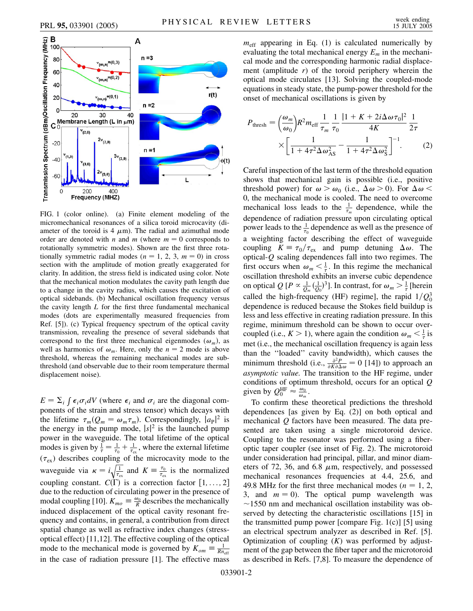

FIG. 1 (color online). (a) Finite element modeling of the micromechanical resonances of a silica toroid microcavity (diameter of the toroid is 4  $\mu$ m). The radial and azimuthal mode order are denoted with *n* and *m* (where  $m = 0$  corresponds to rotationally symmetric modes). Shown are the first three rotationally symmetric radial modes  $(n = 1, 2, 3, m = 0)$  in cross section with the amplitude of motion greatly exaggerated for clarity. In addition, the stress field is indicated using color. Note that the mechanical motion modulates the cavity path length due to a change in the cavity radius, which causes the excitation of optical sidebands. (b) Mechanical oscillation frequency versus the cavity length *L* for the first three fundamental mechanical modes (dots are experimentally measured frequencies from Ref. [5]). (c) Typical frequency spectrum of the optical cavity transmission, revealing the presence of several sidebands that correspond to the first three mechanical eigenmodes  $(\omega_m)$ , as well as harmonics of  $\omega_m$ . Here, only the  $n = 2$  mode is above threshold, whereas the remaining mechanical modes are subthreshold (and observable due to their room temperature thermal displacement noise).

 $E = \sum_i \int \epsilon_i \sigma_i dV$  (where  $\epsilon_i$  and  $\sigma_i$  are the diagonal components of the strain and stress tensor) which decays with the lifetime  $\tau_m(Q_m = \omega_m \tau_m)$ . Correspondingly,  $|a_P|^2$  is the energy in the pump mode,  $|s|^2$  is the launched pump power in the waveguide. The total lifetime of the optical modes is given by  $\frac{1}{\tau} = \frac{1}{\tau_0} + \frac{1}{\tau_{\text{ex}}},$  where the external lifetime  $(\tau_{ex})$  describes coupling of the microcavity mode to the waveguide via  $\kappa = i \sqrt{\frac{1}{\tau_{\text{ex}}}}$  and  $K = \frac{\tau_0}{\tau_{\text{ex}}}$  is the normalized coupling constant.  $C(\Gamma)$  is a correction factor  $[1, \ldots, 2]$ due to the reduction of circulating power in the presence of modal coupling [10].  $K_{mo} \equiv \frac{\omega_0}{R}$  describes the mechanically induced displacement of the optical cavity resonant frequency and contains, in general, a contribution from direct spatial change as well as refractive index changes (stressoptical effect) [11,12]. The effective coupling of the optical mode to the mechanical mode is governed by  $K_{om} \equiv \frac{1}{R n_{\text{eff}}}$ in the case of radiation pressure [1]. The effective mass  $m_{\text{eff}}$  appearing in Eq. (1) is calculated numerically by evaluating the total mechanical energy  $E_m$  in the mechanical mode and the corresponding harmonic radial displacement (amplitude *r*) of the toroid periphery wherein the optical mode circulates [13]. Solving the coupled-mode equations in steady state, the pump-power threshold for the onset of mechanical oscillations is given by

$$
P_{\text{thresh}} = \left(\frac{\omega_m}{\omega_0}\right) R^2 m_{\text{eff}} \frac{1}{\tau_m} \frac{1}{\tau_0} \frac{|1 + K + 2i\Delta\omega\tau_0|^2}{4K} \frac{1}{2\tau}
$$

$$
\times \left[ \frac{1}{1 + 4\tau^2 \Delta\omega_{\text{AS}}^2} - \frac{1}{1 + 4\tau^2 \Delta\omega_{\text{S}}^2} \right]^{-1} . \tag{2}
$$

Careful inspection of the last term of the threshold equation shows that mechanical gain is possible (i.e., positive threshold power) for  $\omega > \omega_0$  (i.e.,  $\Delta \omega > 0$ ). For  $\Delta \omega <$ 0, the mechanical mode is cooled. The need to overcome mechanical loss leads to the  $\frac{1}{\tau_m}$  dependence, while the dependence of radiation pressure upon circulating optical power leads to the  $\frac{1}{\tau_0}$  dependence as well as the presence of a weighting factor describing the effect of waveguide coupling  $K = \tau_0 / \tau_{\text{ex}}$  and pump detuning  $\Delta \omega$ . The optical-*Q* scaling dependences fall into two regimes. The first occurs when  $\omega_m < \frac{1}{\tau}$ . In this regime the mechanical oscillation threshold exhibits an inverse cubic dependence on optical  $Q [P \propto \frac{1}{Q_m} (\frac{1}{Q_0})^3]$ . In contrast, for  $\omega_m > \frac{1}{\tau}$  [herein called the high-frequency (HF) regime], the rapid  $1/Q_0^3$ dependence is reduced because the Stokes field buildup is less and less effective in creating radiation pressure. In this regime, minimum threshold can be shown to occur overcoupled (i.e.,  $K > 1$ ), where again the condition  $\omega_m < \frac{1}{\tau}$  is met (i.e., the mechanical oscillation frequency is again less than the ''loaded'' cavity bandwidth), which causes the minimum threshold (i.e.,  $\frac{\partial^2 P}{\partial K \partial \Delta \omega} = 0$  [14]) to approach an *asymptotic value.* The transition to the HF regime, under conditions of optimum threshold, occurs for an optical *Q* given by  $Q_0^{\text{HF}} \approx \frac{\omega_0}{\omega_m}$ .

To confirm these theoretical predictions the threshold dependences [as given by Eq. (2)] on both optical and mechanical *Q* factors have been measured. The data presented are taken using a single microtoroid device. Coupling to the resonator was performed using a fiberoptic taper coupler (see inset of Fig. 2). The microtoroid under consideration had principal, pillar, and minor diameters of 72, 36, and 6.8  $\mu$ m, respectively, and possessed mechanical resonances frequencies at 4.4, 25.6, and 49.8 MHz for the first three mechanical modes  $(n = 1, 2, ...)$ 3, and  $m = 0$ ). The optical pump wavelength was  $\sim$ 1550 nm and mechanical oscillation instability was observed by detecting the characteristic oscillations [15] in the transmitted pump power [compare Fig.  $1(c)$ ] [5] using an electrical spectrum analyzer as described in Ref. [5]. Optimization of coupling (*K*) was performed by adjustment of the gap between the fiber taper and the microtoroid as described in Refs. [7,8]. To measure the dependence of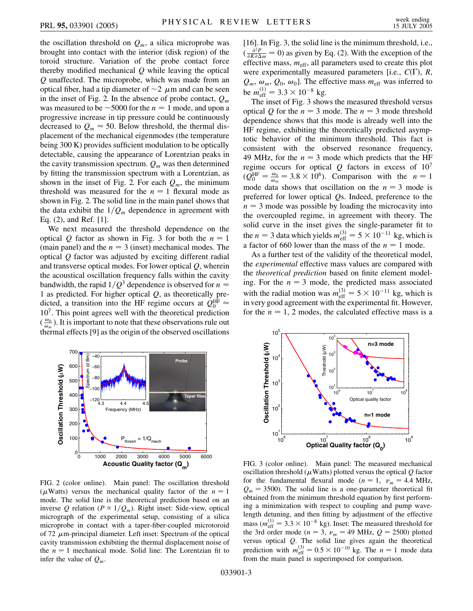the oscillation threshold on  $Q_m$ , a silica microprobe was brought into contact with the interior (disk region) of the toroid structure. Variation of the probe contact force thereby modified mechanical *Q* while leaving the optical *Q* unaffected. The microprobe, which was made from an optical fiber, had a tip diameter of  $\sim$ 2  $\mu$ m and can be seen in the inset of Fig. 2. In the absence of probe contact,  $Q_m$ was measured to be  $\sim$  5000 for the  $n = 1$  mode, and upon a progressive increase in tip pressure could be continuously decreased to  $Q_m \approx 50$ . Below threshold, the thermal displacement of the mechanical eigenmodes (the temperature being 300 K) provides sufficient modulation to be optically detectable, causing the appearance of Lorentzian peaks in the cavity transmission spectrum.  $Q_m$  was then determined by fitting the transmission spectrum with a Lorentzian, as shown in the inset of Fig. 2. For each  $Q_m$ , the minimum threshold was measured for the  $n = 1$  flexural mode as shown in Fig. 2. The solid line in the main panel shows that the data exhibit the  $1/Q_m$  dependence in agreement with Eq. (2), and Ref. [1].

We next measured the threshold dependence on the optical *Q* factor as shown in Fig. 3 for both the  $n = 1$ (main panel) and the  $n = 3$  (inset) mechanical modes. The optical *Q* factor was adjusted by exciting different radial and transverse optical modes. For lower optical *Q*, wherein the acoustical oscillation frequency falls within the cavity bandwidth, the rapid  $1/Q^3$  dependence is observed for  $n =$ 1 as predicted. For higher optical *Q*, as theoretically predicted, a transition into the HF regime occurs at  $Q_0^{\text{HF}} \approx$  $10<sup>7</sup>$ . This point agrees well with the theoretical prediction  $(\frac{\omega_0}{\omega_m})$ . It is important to note that these observations rule out thermal effects [9] as the origin of the observed oscillations



FIG. 2 (color online). Main panel: The oscillation threshold ( $\mu$ Watts) versus the mechanical quality factor of the  $n = 1$ mode. The solid line is the theoretical prediction based on an inverse *Q* relation ( $P \propto 1/Q_m$ ). Right inset: Side-view, optical micrograph of the experimental setup, consisting of a silica microprobe in contact with a taper-fiber-coupled microtoroid of 72  $\mu$ m-principal diameter. Left inset: Spectrum of the optical cavity transmission exhibiting the thermal displacement noise of the  $n = 1$  mechanical mode. Solid line: The Lorentzian fit to infer the value of *Qm*.

[16]. In Fig. 3, the solid line is the minimum threshold, i.e.,  $\left(\frac{\partial^2 P}{\partial K \partial \Delta \omega}\right) = 0$  as given by Eq. (2). With the exception of the effective mass,  $m_{\text{eff}}$ , all parameters used to create this plot were experimentally measured parameters [i.e.,  $C(\Gamma)$ ,  $R$ ,  $Q_m$ ,  $\omega_m$ ,  $Q_0$ ,  $\omega_0$ ]. The effective mass  $m_{\text{eff}}$  was inferred to be  $m_{\text{eff}}^{(1)} = 3.3 \times 10^{-8}$  kg.

The inset of Fig. 3 shows the measured threshold versus optical Q for the  $n = 3$  mode. The  $n = 3$  mode threshold dependence shows that this mode is already well into the HF regime, exhibiting the theoretically predicted asymptotic behavior of the minimum threshold. This fact is consistent with the observed resonance frequency, 49 MHz, for the  $n = 3$  mode which predicts that the HF regime occurs for optical  $Q$  factors in excess of  $10<sup>7</sup>$  $(Q_0^{\text{HF}} = \frac{\omega_0}{\omega_m} = 3.8 \times 10^6)$ . Comparison with the *n* = 1 mode data shows that oscillation on the  $n = 3$  mode is preferred for lower optical *Q*s. Indeed, preference to the  $n = 3$  mode was possible by loading the microcavity into the overcoupled regime, in agreement with theory. The solid curve in the inset gives the single-parameter fit to the *n* = 3 data which yields  $m_{\text{eff}}^{(3)} = 5 \times 10^{-11}$  kg, which is a factor of 660 lower than the mass of the  $n = 1$  mode.

As a further test of the validity of the theoretical model, the *experimental* effective mass values are compared with the *theoretical prediction* based on finite element modeling. For the  $n = 3$  mode, the predicted mass associated with the radial motion was  $m_{\text{eff}}^{(3)} = 5 \times 10^{-11}$  kg, which is in very good agreement with the experimental fit. However, for the  $n = 1$ , 2 modes, the calculated effective mass is a



FIG. 3 (color online). Main panel: The measured mechanical oscillation threshold ( $\mu$ Watts) plotted versus the optical  $Q$  factor for the fundamental flexural mode ( $n = 1$ ,  $\nu_m = 4.4 \text{ MHz}$ ,  $Q_m = 3500$ . The solid line is a one-parameter theoretical fit obtained from the minimum threshold equation by first performing a minimization with respect to coupling and pump wavelength detuning, and then fitting by adjustment of the effective mass ( $m_{\text{eff}}^{(1)} = 3.3 \times 10^{-8}$  kg). Inset: The measured threshold for the 3rd order mode ( $n = 3$ ,  $\nu_m = 49$  MHz,  $Q = 2500$ ) plotted versus optical *Q*. The solid line gives again the theoretical prediction with  $m_{\text{eff}}^{(3)} = 0.5 \times 10^{-10}$  kg. The  $n = 1$  mode data from the main panel is superimposed for comparison.